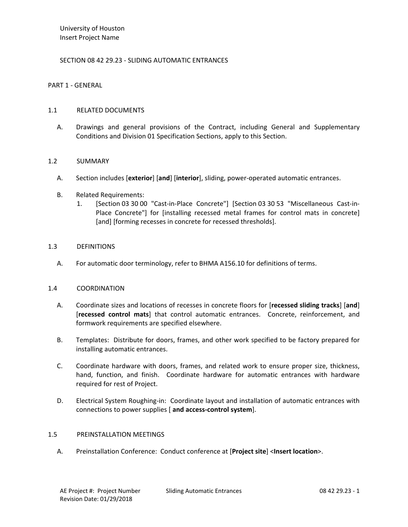# SECTION 08 42 29.23 - SLIDING AUTOMATIC ENTRANCES

## PART 1 - GENERAL

## 1.1 RELATED DOCUMENTS

A. Drawings and general provisions of the Contract, including General and Supplementary Conditions and Division 01 Specification Sections, apply to this Section.

# 1.2 SUMMARY

- A. Section includes [**exterior**] [**and**] [**interior**], sliding, power-operated automatic entrances.
- B. Related Requirements:
	- 1. [Section 03 30 00 "Cast-in-Place Concrete"] [Section 03 30 53 "Miscellaneous Cast-in-Place Concrete"] for [installing recessed metal frames for control mats in concrete] [and] [forming recesses in concrete for recessed thresholds].

# 1.3 DEFINITIONS

A. For automatic door terminology, refer to BHMA A156.10 for definitions of terms.

#### 1.4 COORDINATION

- A. Coordinate sizes and locations of recesses in concrete floors for [**recessed sliding tracks**] [**and**] [**recessed control mats**] that control automatic entrances. Concrete, reinforcement, and formwork requirements are specified elsewhere.
- B. Templates: Distribute for doors, frames, and other work specified to be factory prepared for installing automatic entrances.
- C. Coordinate hardware with doors, frames, and related work to ensure proper size, thickness, hand, function, and finish. Coordinate hardware for automatic entrances with hardware required for rest of Project.
- D. Electrical System Roughing-in: Coordinate layout and installation of automatic entrances with connections to power supplies [ **and access-control system**].

#### 1.5 PREINSTALLATION MEETINGS

A. Preinstallation Conference: Conduct conference at [**Project site**] <**Insert location**>.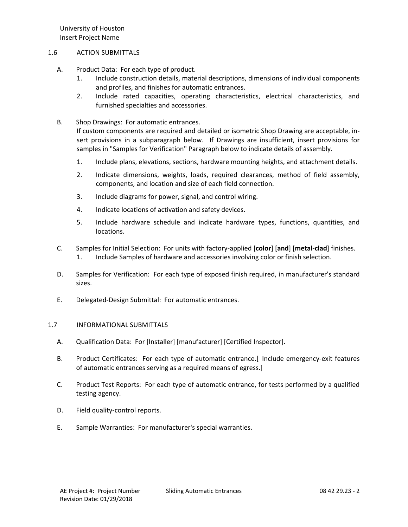## 1.6 ACTION SUBMITTALS

- A. Product Data: For each type of product.
	- 1. Include construction details, material descriptions, dimensions of individual components and profiles, and finishes for automatic entrances.
	- 2. Include rated capacities, operating characteristics, electrical characteristics, and furnished specialties and accessories.
- B. Shop Drawings: For automatic entrances.

If custom components are required and detailed or isometric Shop Drawing are acceptable, insert provisions in a subparagraph below. If Drawings are insufficient, insert provisions for samples in "Samples for Verification" Paragraph below to indicate details of assembly.

- 1. Include plans, elevations, sections, hardware mounting heights, and attachment details.
- 2. Indicate dimensions, weights, loads, required clearances, method of field assembly, components, and location and size of each field connection.
- 3. Include diagrams for power, signal, and control wiring.
- 4. Indicate locations of activation and safety devices.
- 5. Include hardware schedule and indicate hardware types, functions, quantities, and locations.
- C. Samples for Initial Selection: For units with factory-applied [**color**] [**and**] [**metal-clad**] finishes. 1. Include Samples of hardware and accessories involving color or finish selection.
- D. Samples for Verification: For each type of exposed finish required, in manufacturer's standard sizes.
- E. Delegated-Design Submittal: For automatic entrances.

# 1.7 INFORMATIONAL SUBMITTALS

- A. Qualification Data: For [Installer] [manufacturer] [Certified Inspector].
- B. Product Certificates: For each type of automatic entrance.[ Include emergency-exit features of automatic entrances serving as a required means of egress.]
- C. Product Test Reports: For each type of automatic entrance, for tests performed by a qualified testing agency.
- D. Field quality-control reports.
- E. Sample Warranties: For manufacturer's special warranties.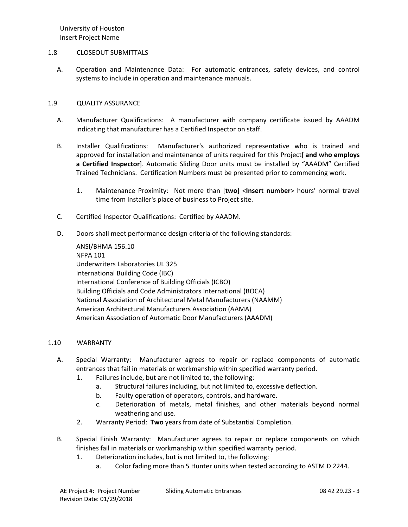## 1.8 CLOSEOUT SUBMITTALS

A. Operation and Maintenance Data: For automatic entrances, safety devices, and control systems to include in operation and maintenance manuals.

# 1.9 QUALITY ASSURANCE

- A. Manufacturer Qualifications: A manufacturer with company certificate issued by AAADM indicating that manufacturer has a Certified Inspector on staff.
- B. Installer Qualifications: Manufacturer's authorized representative who is trained and approved for installation and maintenance of units required for this Project[ **and who employs a Certified Inspector**]. Automatic Sliding Door units must be installed by "AAADM" Certified Trained Technicians. Certification Numbers must be presented prior to commencing work.
	- 1. Maintenance Proximity: Not more than [**two**] <**Insert number**> hours' normal travel time from Installer's place of business to Project site.
- C. Certified Inspector Qualifications: Certified by AAADM.
- D. Doors shall meet performance design criteria of the following standards:

ANSI/BHMA 156.10 NFPA 101 Underwriters Laboratories UL 325 International Building Code (IBC) International Conference of Building Officials (ICBO) Building Officials and Code Administrators International (BOCA) National Association of Architectural Metal Manufacturers (NAAMM) American Architectural Manufacturers Association (AAMA) American Association of Automatic Door Manufacturers (AAADM)

# 1.10 WARRANTY

- A. Special Warranty: Manufacturer agrees to repair or replace components of automatic entrances that fail in materials or workmanship within specified warranty period.
	- 1. Failures include, but are not limited to, the following:
		- a. Structural failures including, but not limited to, excessive deflection.
		- b. Faulty operation of operators, controls, and hardware.
		- c. Deterioration of metals, metal finishes, and other materials beyond normal weathering and use.
	- 2. Warranty Period: **Two** years from date of Substantial Completion.
- B. Special Finish Warranty: Manufacturer agrees to repair or replace components on which finishes fail in materials or workmanship within specified warranty period.
	- 1. Deterioration includes, but is not limited to, the following:
		- a. Color fading more than 5 Hunter units when tested according to ASTM D 2244.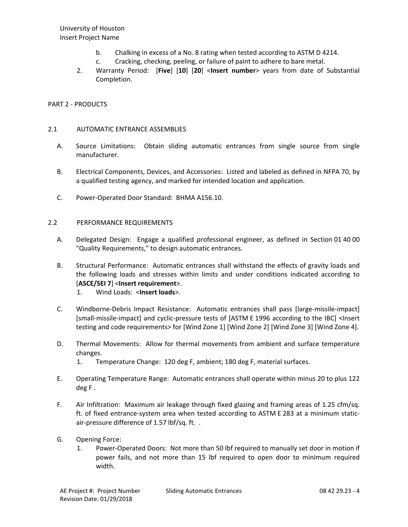- b. Chalking in excess of a No. 8 rating when tested according to ASTM D 4214.
- c. Cracking, checking, peeling, or failure of paint to adhere to bare metal.
- 2. Warranty Period: [**Five**] [**10**] [**20**] <**Insert number**> years from date of Substantial Completion.

#### PART 2 - PRODUCTS

#### 2.1 AUTOMATIC ENTRANCE ASSEMBLIES

- A. Source Limitations: Obtain sliding automatic entrances from single source from single manufacturer.
- B. Electrical Components, Devices, and Accessories: Listed and labeled as defined in NFPA 70, by a qualified testing agency, and marked for intended location and application.
- C. Power-Operated Door Standard: BHMA A156.10.

#### 2.2 PERFORMANCE REQUIREMENTS

- A. Delegated Design: Engage a qualified professional engineer, as defined in Section 01 40 00 "Quality Requirements," to design automatic entrances.
- B. Structural Performance: Automatic entrances shall withstand the effects of gravity loads and the following loads and stresses within limits and under conditions indicated according to [**ASCE/SEI 7**] <**Insert requirement**>.
	- 1. Wind Loads: <**Insert loads**>.
- C. Windborne-Debris Impact Resistance: Automatic entrances shall pass [large-missile-impact] [small-missile-impact] and cyclic-pressure tests of [ASTM E 1996 according to the IBC] <Insert testing and code requirements> for [Wind Zone 1] [Wind Zone 2] [Wind Zone 3] [Wind Zone 4].
- D. Thermal Movements: Allow for thermal movements from ambient and surface temperature changes.
	- 1. Temperature Change: 120 deg F, ambient; 180 deg F, material surfaces.
- E. Operating Temperature Range: Automatic entrances shall operate within minus 20 to plus 122 deg F .
- F. Air Infiltration: Maximum air leakage through fixed glazing and framing areas of 1.25 cfm/sq. ft. of fixed entrance-system area when tested according to ASTM E 283 at a minimum staticair-pressure difference of 1.57 lbf/sq. ft. .
- G. Opening Force:
	- 1. Power-Operated Doors: Not more than 50 lbf required to manually set door in motion if power fails, and not more than 15 lbf required to open door to minimum required width.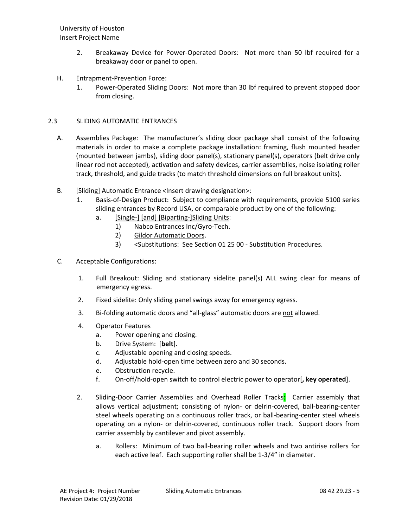- 2. Breakaway Device for Power-Operated Doors: Not more than 50 lbf required for a breakaway door or panel to open.
- H. Entrapment-Prevention Force:
	- 1. Power-Operated Sliding Doors: Not more than 30 lbf required to prevent stopped door from closing.

# 2.3 SLIDING AUTOMATIC ENTRANCES

- A. Assemblies Package: The manufacturer's sliding door package shall consist of the following materials in order to make a complete package installation: framing, flush mounted header (mounted between jambs), sliding door panel(s), stationary panel(s), operators (belt drive only linear rod not accepted), activation and safety devices, carrier assemblies, noise isolating roller track, threshold, and guide tracks (to match threshold dimensions on full breakout units).
- B. [Sliding] Automatic Entrance <Insert drawing designation>:
	- 1. Basis-of-Design Product: Subject to compliance with requirements, provide 5100 series sliding entrances by Record USA, or comparable product by one of the following:
		- a. [\[Single-\] \[and\] \[Biparting-\]Sliding Units:](http://www.specagent.com/LookUp/?ulid=6981&mf=04&src=wd)
			- 1) [Nabco Entrances Inc/](http://www.specagent.com/LookUp/?uid=123456837221&mf=04&src=wd)Gyro-Tech.
			- 2) [Gildor Automatic Doors.](http://www.specagent.com/LookUp/?uid=123456837218&mf=04&src=wd)
			- 3) <Substitutions: See Section 01 25 00 Substitution Procedures.
- C. Acceptable Configurations:
	- 1. Full Breakout: Sliding and stationary sidelite panel(s) ALL swing clear for means of emergency egress.
	- 2. Fixed sidelite: Only sliding panel swings away for emergency egress.
	- 3. Bi-folding automatic doors and "all-glass" automatic doors are not allowed.
	- 4. Operator Features
		- a. Power opening and closing.
		- b. Drive System: [**belt**].
		- c. Adjustable opening and closing speeds.
		- d. Adjustable hold-open time between zero and 30 seconds.
		- e. Obstruction recycle.
		- f. On-off/hold-open switch to control electric power to operator[**, key operated**].
	- 2. Sliding-Door Carrier Assemblies and Overhead Roller Tracks: Carrier assembly that allows vertical adjustment; consisting of nylon- or delrin-covered, ball-bearing-center steel wheels operating on a continuous roller track, or ball-bearing-center steel wheels operating on a nylon- or delrin-covered, continuous roller track. Support doors from carrier assembly by cantilever and pivot assembly.
		- a. Rollers: Minimum of two ball-bearing roller wheels and two antirise rollers for each active leaf. Each supporting roller shall be 1-3/4" in diameter.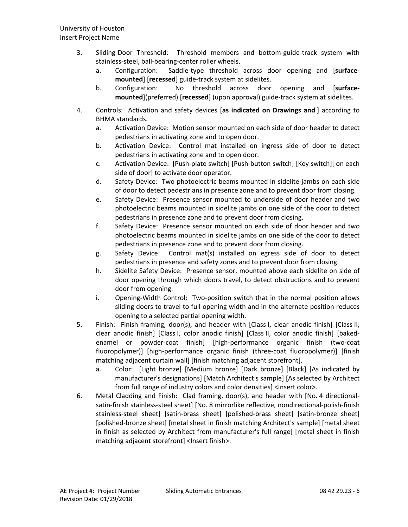- 3. Sliding-Door Threshold: Threshold members and bottom-guide-track system with stainless-steel, ball-bearing-center roller wheels.
	- a. Configuration: Saddle-type threshold across door opening and [**surfacemounted**] [**recessed**] guide-track system at sidelites.
	- b. Configuration: No threshold across door opening and [**surfacemounted**](preferred) [**recessed**] (upon approval) guide-track system at sidelites.
- 4. Controls: Activation and safety devices [**as indicated on Drawings and** ] according to BHMA standards.
	- a. Activation Device: Motion sensor mounted on each side of door header to detect pedestrians in activating zone and to open door.
	- b. Activation Device: Control mat installed on ingress side of door to detect pedestrians in activating zone and to open door.
	- c. Activation Device: [Push-plate switch] [Push-button switch] [Key switch][ on each side of door] to activate door operator.
	- d. Safety Device: Two photoelectric beams mounted in sidelite jambs on each side of door to detect pedestrians in presence zone and to prevent door from closing.
	- e. Safety Device: Presence sensor mounted to underside of door header and two photoelectric beams mounted in sidelite jambs on one side of the door to detect pedestrians in presence zone and to prevent door from closing.
	- f. Safety Device: Presence sensor mounted on each side of door header and two photoelectric beams mounted in sidelite jambs on one side of the door to detect pedestrians in presence zone and to prevent door from closing.
	- g. Safety Device: Control mat(s) installed on egress side of door to detect pedestrians in presence and safety zones and to prevent door from closing.
	- h. Sidelite Safety Device: Presence sensor, mounted above each sidelite on side of door opening through which doors travel, to detect obstructions and to prevent door from opening.
	- i. Opening-Width Control: Two-position switch that in the normal position allows sliding doors to travel to full opening width and in the alternate position reduces opening to a selected partial opening width.
- 5. Finish: Finish framing, door(s), and header with [Class I, clear anodic finish] [Class II, clear anodic finish] [Class I, color anodic finish] [Class II, color anodic finish] [bakedenamel or powder-coat finish] [high-performance organic finish (two-coat fluoropolymer)] [high-performance organic finish (three-coat fluoropolymer)] [finish matching adjacent curtain wall] [finish matching adjacent storefront].
	- a. Color: [Light bronze] [Medium bronze] [Dark bronze] [Black] [As indicated by manufacturer's designations] [Match Architect's sample] [As selected by Architect from full range of industry colors and color densities] <Insert color>.
- 6. Metal Cladding and Finish: Clad framing, door(s), and header with [No. 4 directionalsatin-finish stainless-steel sheet] [No. 8 mirrorlike reflective, nondirectional-polish-finish stainless-steel sheet] [satin-brass sheet] [polished-brass sheet] [satin-bronze sheet] [polished-bronze sheet] [metal sheet in finish matching Architect's sample] [metal sheet in finish as selected by Architect from manufacturer's full range] [metal sheet in finish matching adjacent storefront] <Insert finish>.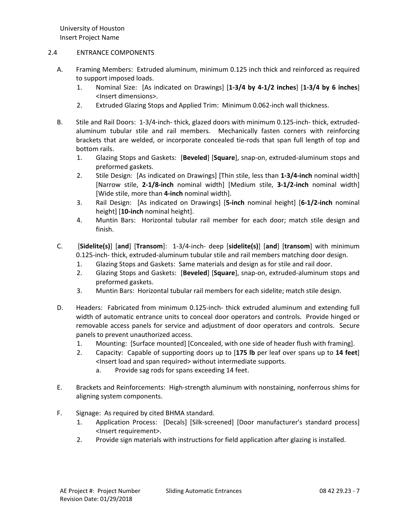# 2.4 ENTRANCE COMPONENTS

- A. Framing Members: Extruded aluminum, minimum 0.125 inch thick and reinforced as required to support imposed loads.
	- 1. Nominal Size: [As indicated on Drawings] [**1-3/4 by 4-1/2 inches**] [**1-3/4 by 6 inches**] <Insert dimensions>.
	- 2. Extruded Glazing Stops and Applied Trim: Minimum 0.062-inch wall thickness.
- B. Stile and Rail Doors: 1-3/4-inch- thick, glazed doors with minimum 0.125-inch- thick, extrudedaluminum tubular stile and rail members. Mechanically fasten corners with reinforcing brackets that are welded, or incorporate concealed tie-rods that span full length of top and bottom rails.
	- 1. Glazing Stops and Gaskets: [**Beveled**] [**Square**], snap-on, extruded-aluminum stops and preformed gaskets.
	- 2. Stile Design: [As indicated on Drawings] [Thin stile, less than **1-3/4-inch** nominal width] [Narrow stile, **2-1/8-inch** nominal width] [Medium stile, **3-1/2-inch** nominal width] [Wide stile, more than **4-inch** nominal width].
	- 3. Rail Design: [As indicated on Drawings] [**5-inch** nominal height] [**6-1/2-inch** nominal height] [**10-inch** nominal height].
	- 4. Muntin Bars: Horizontal tubular rail member for each door; match stile design and finish.
- C. [**Sidelite(s)**] [**and**] [**Transom**]: 1-3/4-inch- deep [**sidelite(s)**] [**and**] [**transom**] with minimum 0.125-inch- thick, extruded-aluminum tubular stile and rail members matching door design.
	- 1. Glazing Stops and Gaskets: Same materials and design as for stile and rail door.
	- 2. Glazing Stops and Gaskets: [**Beveled**] [**Square**], snap-on, extruded-aluminum stops and preformed gaskets.
	- 3. Muntin Bars: Horizontal tubular rail members for each sidelite; match stile design.
- D. Headers: Fabricated from minimum 0.125-inch- thick extruded aluminum and extending full width of automatic entrance units to conceal door operators and controls. Provide hinged or removable access panels for service and adjustment of door operators and controls. Secure panels to prevent unauthorized access.
	- 1. Mounting: [Surface mounted] [Concealed, with one side of header flush with framing].
	- 2. Capacity: Capable of supporting doors up to [**175 lb** per leaf over spans up to **14 feet**] <Insert load and span required> without intermediate supports.
		- a. Provide sag rods for spans exceeding 14 feet.
- E. Brackets and Reinforcements: High-strength aluminum with nonstaining, nonferrous shims for aligning system components.
- F. Signage: As required by cited BHMA standard.
	- 1. Application Process: [Decals] [Silk-screened] [Door manufacturer's standard process] <Insert requirement>.
	- 2. Provide sign materials with instructions for field application after glazing is installed.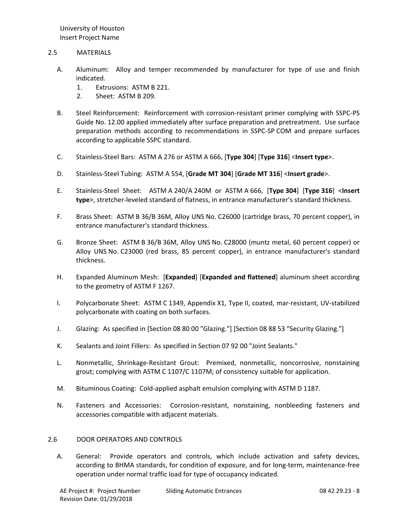## 2.5 MATERIALS

- A. Aluminum: Alloy and temper recommended by manufacturer for type of use and finish indicated.
	- 1. Extrusions: ASTM B 221.
	- 2. Sheet: ASTM B 209.
- B. Steel Reinforcement: Reinforcement with corrosion-resistant primer complying with SSPC-PS Guide No. 12.00 applied immediately after surface preparation and pretreatment. Use surface preparation methods according to recommendations in SSPC-SP COM and prepare surfaces according to applicable SSPC standard.
- C. Stainless-Steel Bars: ASTM A 276 or ASTM A 666, [**Type 304**] [**Type 316**] <**Insert type**>.
- D. Stainless-Steel Tubing: ASTM A 554, [**Grade MT 304**] [**Grade MT 316**] <**Insert grade**>.
- E. Stainless-Steel Sheet: ASTM A 240/A 240M or ASTM A 666, [**Type 304**] [**Type 316**] <**Insert type**>, stretcher-leveled standard of flatness, in entrance manufacturer's standard thickness.
- F. Brass Sheet: ASTM B 36/B 36M, Alloy UNS No. C26000 (cartridge brass, 70 percent copper), in entrance manufacturer's standard thickness.
- G. Bronze Sheet: ASTM B 36/B 36M, Alloy UNS No. C28000 (muntz metal, 60 percent copper) or Alloy UNS No. C23000 (red brass, 85 percent copper), in entrance manufacturer's standard thickness.
- H. Expanded Aluminum Mesh: [**Expanded**] [**Expanded and flattened**] aluminum sheet according to the geometry of ASTM F 1267.
- I. Polycarbonate Sheet: ASTM C 1349, Appendix X1, Type II, coated, mar-resistant, UV-stabilized polycarbonate with coating on both surfaces.
- J. Glazing: As specified in [Section 08 80 00 "Glazing."] [Section 08 88 53 "Security Glazing."]
- K. Sealants and Joint Fillers: As specified in Section 07 92 00 "Joint Sealants."
- L. Nonmetallic, Shrinkage-Resistant Grout: Premixed, nonmetallic, noncorrosive, nonstaining grout; complying with ASTM C 1107/C 1107M; of consistency suitable for application.
- M. Bituminous Coating: Cold-applied asphalt emulsion complying with ASTM D 1187.
- N. Fasteners and Accessories: Corrosion-resistant, nonstaining, nonbleeding fasteners and accessories compatible with adjacent materials.

#### 2.6 DOOR OPERATORS AND CONTROLS

A. General: Provide operators and controls, which include activation and safety devices, according to BHMA standards, for condition of exposure, and for long-term, maintenance-free operation under normal traffic load for type of occupancy indicated.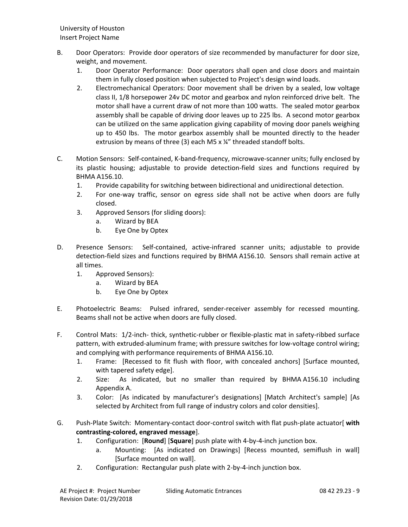- B. Door Operators: Provide door operators of size recommended by manufacturer for door size, weight, and movement.
	- 1. Door Operator Performance: Door operators shall open and close doors and maintain them in fully closed position when subjected to Project's design wind loads.
	- 2. Electromechanical Operators: Door movement shall be driven by a sealed, low voltage class II, 1/8 horsepower 24v DC motor and gearbox and nylon reinforced drive belt. The motor shall have a current draw of not more than 100 watts. The sealed motor gearbox assembly shall be capable of driving door leaves up to 225 lbs. A second motor gearbox can be utilized on the same application giving capability of moving door panels weighing up to 450 lbs. The motor gearbox assembly shall be mounted directly to the header extrusion by means of three (3) each M5 x ¼" threaded standoff bolts.
- C. Motion Sensors: Self-contained, K-band-frequency, microwave-scanner units; fully enclosed by its plastic housing; adjustable to provide detection-field sizes and functions required by BHMA A156.10.
	- 1. Provide capability for switching between bidirectional and unidirectional detection.
	- 2. For one-way traffic, sensor on egress side shall not be active when doors are fully closed.
	- 3. Approved Sensors (for sliding doors):
		- a. Wizard by BEA
		- b. Eye One by Optex
- D. Presence Sensors: Self-contained, active-infrared scanner units; adjustable to provide detection-field sizes and functions required by BHMA A156.10. Sensors shall remain active at all times.
	- 1. Approved Sensors):
		- a. Wizard by BEA
		- b. Eye One by Optex
- E. Photoelectric Beams: Pulsed infrared, sender-receiver assembly for recessed mounting. Beams shall not be active when doors are fully closed.
- F. Control Mats: 1/2-inch- thick, synthetic-rubber or flexible-plastic mat in safety-ribbed surface pattern, with extruded-aluminum frame; with pressure switches for low-voltage control wiring; and complying with performance requirements of BHMA A156.10.
	- 1. Frame: [Recessed to fit flush with floor, with concealed anchors] [Surface mounted, with tapered safety edge].
	- 2. Size: As indicated, but no smaller than required by BHMA A156.10 including Appendix A.
	- 3. Color: [As indicated by manufacturer's designations] [Match Architect's sample] [As selected by Architect from full range of industry colors and color densities].
- G. Push-Plate Switch: Momentary-contact door-control switch with flat push-plate actuator[ **with contrasting-colored, engraved message**].
	- 1. Configuration: [**Round**] [**Square**] push plate with 4-by-4-inch junction box.
		- a. Mounting: [As indicated on Drawings] [Recess mounted, semiflush in wall] [Surface mounted on wall].
	- 2. Configuration: Rectangular push plate with 2-by-4-inch junction box.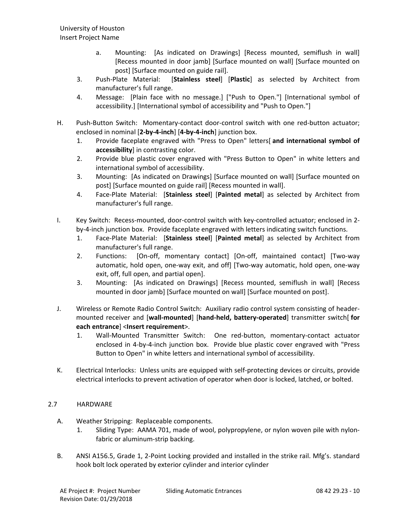- a. Mounting: [As indicated on Drawings] [Recess mounted, semiflush in wall] [Recess mounted in door jamb] [Surface mounted on wall] [Surface mounted on post] [Surface mounted on guide rail].
- 3. Push-Plate Material: [**Stainless steel**] [**Plastic**] as selected by Architect from manufacturer's full range.
- 4. Message: [Plain face with no message.] ["Push to Open."] [International symbol of accessibility.] [International symbol of accessibility and "Push to Open."]
- H. Push-Button Switch: Momentary-contact door-control switch with one red-button actuator; enclosed in nominal [**2-by-4-inch**] [**4-by-4-inch**] junction box.
	- 1. Provide faceplate engraved with "Press to Open" letters[ **and international symbol of accessibility**] in contrasting color.
	- 2. Provide blue plastic cover engraved with "Press Button to Open" in white letters and international symbol of accessibility.
	- 3. Mounting: [As indicated on Drawings] [Surface mounted on wall] [Surface mounted on post] [Surface mounted on guide rail] [Recess mounted in wall].
	- 4. Face-Plate Material: [**Stainless steel**] [**Painted metal**] as selected by Architect from manufacturer's full range.
- I. Key Switch: Recess-mounted, door-control switch with key-controlled actuator; enclosed in 2 by-4-inch junction box. Provide faceplate engraved with letters indicating switch functions.
	- 1. Face-Plate Material: [**Stainless steel**] [**Painted metal**] as selected by Architect from manufacturer's full range.
	- 2. Functions: [On-off, momentary contact] [On-off, maintained contact] [Two-way automatic, hold open, one-way exit, and off] [Two-way automatic, hold open, one-way exit, off, full open, and partial open].
	- 3. Mounting: [As indicated on Drawings] [Recess mounted, semiflush in wall] [Recess mounted in door jamb] [Surface mounted on wall] [Surface mounted on post].
- J. Wireless or Remote Radio Control Switch: Auxiliary radio control system consisting of headermounted receiver and [**wall-mounted**] [**hand-held, battery-operated**] transmitter switch[ **for each entrance**] <**Insert requirement**>.
	- 1. Wall-Mounted Transmitter Switch: One red-button, momentary-contact actuator enclosed in 4-by-4-inch junction box. Provide blue plastic cover engraved with "Press Button to Open" in white letters and international symbol of accessibility.
- K. Electrical Interlocks: Unless units are equipped with self-protecting devices or circuits, provide electrical interlocks to prevent activation of operator when door is locked, latched, or bolted.

# 2.7 HARDWARE

- A. Weather Stripping: Replaceable components.
	- 1. Sliding Type: AAMA 701, made of wool, polypropylene, or nylon woven pile with nylonfabric or aluminum-strip backing.
- B. ANSI A156.5, Grade 1, 2-Point Locking provided and installed in the strike rail. Mfg's. standard hook bolt lock operated by exterior cylinder and interior cylinder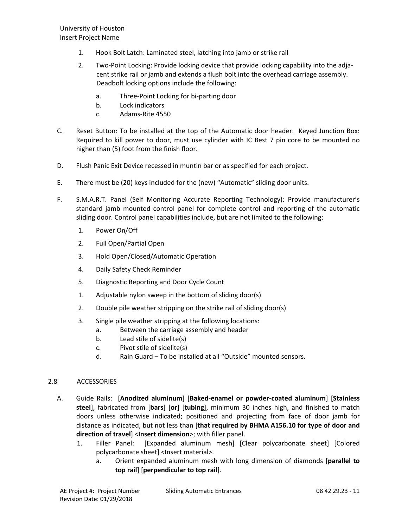- 1. Hook Bolt Latch: Laminated steel, latching into jamb or strike rail
- 2. Two-Point Locking: Provide locking device that provide locking capability into the adjacent strike rail or jamb and extends a flush bolt into the overhead carriage assembly. Deadbolt locking options include the following:
	- a. Three-Point Locking for bi-parting door
	- b. Lock indicators
	- c. Adams-Rite 4550
- C. Reset Button: To be installed at the top of the Automatic door header. Keyed Junction Box: Required to kill power to door, must use cylinder with IC Best 7 pin core to be mounted no higher than (5) foot from the finish floor.
- D. Flush Panic Exit Device recessed in muntin bar or as specified for each project.
- E. There must be (20) keys included for the (new) "Automatic" sliding door units.
- F. S.M.A.R.T. Panel (Self Monitoring Accurate Reporting Technology): Provide manufacturer's standard jamb mounted control panel for complete control and reporting of the automatic sliding door. Control panel capabilities include, but are not limited to the following:
	- 1. Power On/Off
	- 2. Full Open/Partial Open
	- 3. Hold Open/Closed/Automatic Operation
	- 4. Daily Safety Check Reminder
	- 5. Diagnostic Reporting and Door Cycle Count
	- 1. Adjustable nylon sweep in the bottom of sliding door(s)
	- 2. Double pile weather stripping on the strike rail of sliding door(s)
	- 3. Single pile weather stripping at the following locations:
		- a. Between the carriage assembly and header
		- b. Lead stile of sidelite(s)
		- c. Pivot stile of sidelite(s)
		- d. Rain Guard To be installed at all "Outside" mounted sensors.

# 2.8 ACCESSORIES

- A. Guide Rails: [**Anodized aluminum**] [**Baked-enamel or powder-coated aluminum**] [**Stainless steel**], fabricated from [**bars**] [**or**] [**tubing**], minimum 30 inches high, and finished to match doors unless otherwise indicated; positioned and projecting from face of door jamb for distance as indicated, but not less than [**that required by BHMA A156.10 for type of door and direction of travel**] <**Insert dimension**>; with filler panel.
	- 1. Filler Panel: [Expanded aluminum mesh] [Clear polycarbonate sheet] [Colored polycarbonate sheet] <Insert material>.
		- a. Orient expanded aluminum mesh with long dimension of diamonds [**parallel to top rail**] [**perpendicular to top rail**].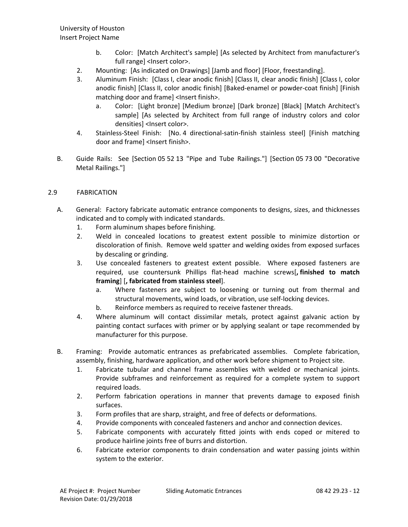- b. Color: [Match Architect's sample] [As selected by Architect from manufacturer's full range] <lnsert color>.
- 2. Mounting: [As indicated on Drawings] [Jamb and floor] [Floor, freestanding].
- 3. Aluminum Finish: [Class I, clear anodic finish] [Class II, clear anodic finish] [Class I, color anodic finish] [Class II, color anodic finish] [Baked-enamel or powder-coat finish] [Finish matching door and frame] <Insert finish>.
	- a. Color: [Light bronze] [Medium bronze] [Dark bronze] [Black] [Match Architect's sample] [As selected by Architect from full range of industry colors and color densities] <Insert color>.
- 4. Stainless-Steel Finish: [No. 4 directional-satin-finish stainless steel] [Finish matching door and frame] <Insert finish>.
- B. Guide Rails: See [Section 05 52 13 "Pipe and Tube Railings."] [Section 05 73 00 "Decorative Metal Railings."]

# 2.9 FABRICATION

- A. General: Factory fabricate automatic entrance components to designs, sizes, and thicknesses indicated and to comply with indicated standards.
	- 1. Form aluminum shapes before finishing.
	- 2. Weld in concealed locations to greatest extent possible to minimize distortion or discoloration of finish. Remove weld spatter and welding oxides from exposed surfaces by descaling or grinding.
	- 3. Use concealed fasteners to greatest extent possible. Where exposed fasteners are required, use countersunk Phillips flat-head machine screws[**, finished to match framing**] [**, fabricated from stainless steel**].
		- a. Where fasteners are subject to loosening or turning out from thermal and structural movements, wind loads, or vibration, use self-locking devices.
		- b. Reinforce members as required to receive fastener threads.
	- 4. Where aluminum will contact dissimilar metals, protect against galvanic action by painting contact surfaces with primer or by applying sealant or tape recommended by manufacturer for this purpose.
- B. Framing: Provide automatic entrances as prefabricated assemblies. Complete fabrication, assembly, finishing, hardware application, and other work before shipment to Project site.
	- 1. Fabricate tubular and channel frame assemblies with welded or mechanical joints. Provide subframes and reinforcement as required for a complete system to support required loads.
	- 2. Perform fabrication operations in manner that prevents damage to exposed finish surfaces.
	- 3. Form profiles that are sharp, straight, and free of defects or deformations.
	- 4. Provide components with concealed fasteners and anchor and connection devices.
	- 5. Fabricate components with accurately fitted joints with ends coped or mitered to produce hairline joints free of burrs and distortion.
	- 6. Fabricate exterior components to drain condensation and water passing joints within system to the exterior.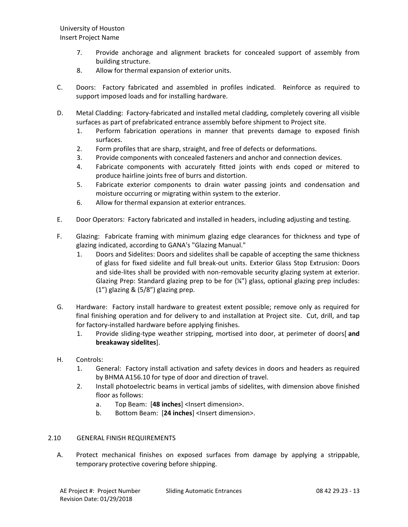- 7. Provide anchorage and alignment brackets for concealed support of assembly from building structure.
- 8. Allow for thermal expansion of exterior units.
- C. Doors: Factory fabricated and assembled in profiles indicated. Reinforce as required to support imposed loads and for installing hardware.
- D. Metal Cladding: Factory-fabricated and installed metal cladding, completely covering all visible surfaces as part of prefabricated entrance assembly before shipment to Project site.
	- 1. Perform fabrication operations in manner that prevents damage to exposed finish surfaces.
	- 2. Form profiles that are sharp, straight, and free of defects or deformations.
	- 3. Provide components with concealed fasteners and anchor and connection devices.
	- 4. Fabricate components with accurately fitted joints with ends coped or mitered to produce hairline joints free of burrs and distortion.
	- 5. Fabricate exterior components to drain water passing joints and condensation and moisture occurring or migrating within system to the exterior.
	- 6. Allow for thermal expansion at exterior entrances.
- E. Door Operators: Factory fabricated and installed in headers, including adjusting and testing.
- F. Glazing: Fabricate framing with minimum glazing edge clearances for thickness and type of glazing indicated, according to GANA's "Glazing Manual."
	- 1. Doors and Sidelites: Doors and sidelites shall be capable of accepting the same thickness of glass for fixed sidelite and full break-out units. Exterior Glass Stop Extrusion: Doors and side-lites shall be provided with non-removable security glazing system at exterior. Glazing Prep: Standard glazing prep to be for  $(\frac{1}{4})$  glass, optional glazing prep includes: (1") glazing & (5/8") glazing prep.
- G. Hardware: Factory install hardware to greatest extent possible; remove only as required for final finishing operation and for delivery to and installation at Project site. Cut, drill, and tap for factory-installed hardware before applying finishes.
	- 1. Provide sliding-type weather stripping, mortised into door, at perimeter of doors[ **and breakaway sidelites**].
- H. Controls:
	- 1. General: Factory install activation and safety devices in doors and headers as required by BHMA A156.10 for type of door and direction of travel.
	- 2. Install photoelectric beams in vertical jambs of sidelites, with dimension above finished floor as follows:
		- a. Top Beam: [**48 inches**] <Insert dimension>.
		- b. Bottom Beam: [**24 inches**] <Insert dimension>.

# 2.10 GENERAL FINISH REQUIREMENTS

A. Protect mechanical finishes on exposed surfaces from damage by applying a strippable, temporary protective covering before shipping.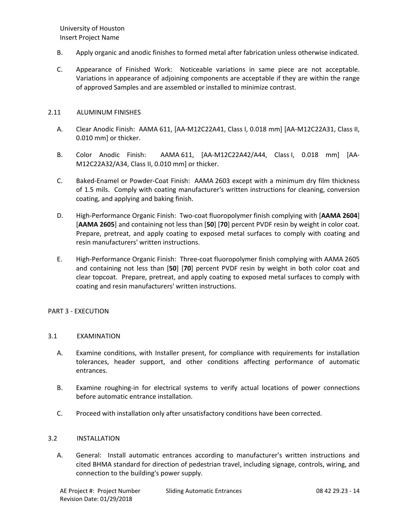- B. Apply organic and anodic finishes to formed metal after fabrication unless otherwise indicated.
- C. Appearance of Finished Work: Noticeable variations in same piece are not acceptable. Variations in appearance of adjoining components are acceptable if they are within the range of approved Samples and are assembled or installed to minimize contrast.

# 2.11 ALUMINUM FINISHES

- A. Clear Anodic Finish: AAMA 611, [AA-M12C22A41, Class I, 0.018 mm] [AA-M12C22A31, Class II, 0.010 mm] or thicker.
- B. Color Anodic Finish: AAMA 611, [AA-M12C22A42/A44, Class I, 0.018 mm] [AA-M12C22A32/A34, Class II, 0.010 mm] or thicker.
- C. Baked-Enamel or Powder-Coat Finish: AAMA 2603 except with a minimum dry film thickness of 1.5 mils. Comply with coating manufacturer's written instructions for cleaning, conversion coating, and applying and baking finish.
- D. High-Performance Organic Finish: Two-coat fluoropolymer finish complying with [**AAMA 2604**] [**AAMA 2605**] and containing not less than [**50**] [**70**] percent PVDF resin by weight in color coat. Prepare, pretreat, and apply coating to exposed metal surfaces to comply with coating and resin manufacturers' written instructions.
- E. High-Performance Organic Finish: Three-coat fluoropolymer finish complying with AAMA 2605 and containing not less than [**50**] [**70**] percent PVDF resin by weight in both color coat and clear topcoat. Prepare, pretreat, and apply coating to exposed metal surfaces to comply with coating and resin manufacturers' written instructions.

# PART 3 - EXECUTION

# 3.1 EXAMINATION

- A. Examine conditions, with Installer present, for compliance with requirements for installation tolerances, header support, and other conditions affecting performance of automatic entrances.
- B. Examine roughing-in for electrical systems to verify actual locations of power connections before automatic entrance installation.
- C. Proceed with installation only after unsatisfactory conditions have been corrected.

#### 3.2 INSTALLATION

A. General: Install automatic entrances according to manufacturer's written instructions and cited BHMA standard for direction of pedestrian travel, including signage, controls, wiring, and connection to the building's power supply.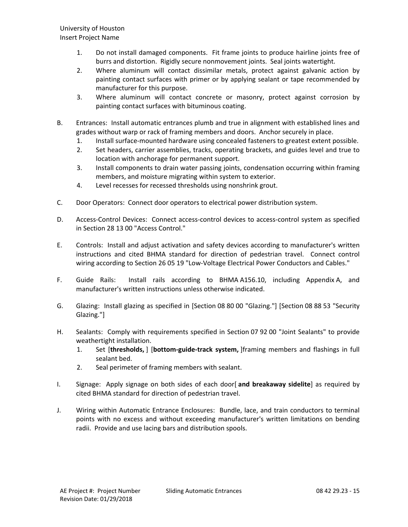- 1. Do not install damaged components. Fit frame joints to produce hairline joints free of burrs and distortion. Rigidly secure nonmovement joints. Seal joints watertight.
- 2. Where aluminum will contact dissimilar metals, protect against galvanic action by painting contact surfaces with primer or by applying sealant or tape recommended by manufacturer for this purpose.
- 3. Where aluminum will contact concrete or masonry, protect against corrosion by painting contact surfaces with bituminous coating.
- B. Entrances: Install automatic entrances plumb and true in alignment with established lines and grades without warp or rack of framing members and doors. Anchor securely in place.
	- 1. Install surface-mounted hardware using concealed fasteners to greatest extent possible.
	- 2. Set headers, carrier assemblies, tracks, operating brackets, and guides level and true to location with anchorage for permanent support.
	- 3. Install components to drain water passing joints, condensation occurring within framing members, and moisture migrating within system to exterior.
	- 4. Level recesses for recessed thresholds using nonshrink grout.
- C. Door Operators: Connect door operators to electrical power distribution system.
- D. Access-Control Devices: Connect access-control devices to access-control system as specified in Section 28 13 00 "Access Control."
- E. Controls: Install and adjust activation and safety devices according to manufacturer's written instructions and cited BHMA standard for direction of pedestrian travel. Connect control wiring according to Section 26 05 19 "Low-Voltage Electrical Power Conductors and Cables."
- F. Guide Rails: Install rails according to BHMA A156.10, including Appendix A, and manufacturer's written instructions unless otherwise indicated.
- G. Glazing: Install glazing as specified in [Section 08 80 00 "Glazing."] [Section 08 88 53 "Security Glazing."]
- H. Sealants: Comply with requirements specified in Section 07 92 00 "Joint Sealants" to provide weathertight installation.
	- 1. Set [**thresholds,** ] [**bottom-guide-track system,** ]framing members and flashings in full sealant bed.
	- 2. Seal perimeter of framing members with sealant.
- I. Signage: Apply signage on both sides of each door[ **and breakaway sidelite**] as required by cited BHMA standard for direction of pedestrian travel.
- J. Wiring within Automatic Entrance Enclosures: Bundle, lace, and train conductors to terminal points with no excess and without exceeding manufacturer's written limitations on bending radii. Provide and use lacing bars and distribution spools.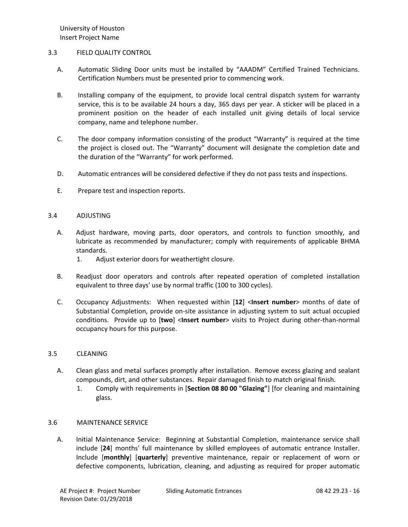### 3.3 FIELD QUALITY CONTROL

- A. Automatic Sliding Door units must be installed by "AAADM" Certified Trained Technicians. Certification Numbers must be presented prior to commencing work.
- B. Installing company of the equipment, to provide local central dispatch system for warranty service, this is to be available 24 hours a day, 365 days per year. A sticker will be placed in a prominent position on the header of each installed unit giving details of local service company, name and telephone number.
- C. The door company information consisting of the product "Warranty" is required at the time the project is closed out. The "Warranty" document will designate the completion date and the duration of the "Warranty" for work performed.
- D. Automatic entrances will be considered defective if they do not pass tests and inspections.
- E. Prepare test and inspection reports.

# 3.4 ADJUSTING

- A. Adjust hardware, moving parts, door operators, and controls to function smoothly, and lubricate as recommended by manufacturer; comply with requirements of applicable BHMA standards.
	- 1. Adjust exterior doors for weathertight closure.
- B. Readjust door operators and controls after repeated operation of completed installation equivalent to three days' use by normal traffic (100 to 300 cycles).
- C. Occupancy Adjustments: When requested within [**12**] <**Insert number**> months of date of Substantial Completion, provide on-site assistance in adjusting system to suit actual occupied conditions. Provide up to [**two**] <**Insert number**> visits to Project during other-than-normal occupancy hours for this purpose.

#### 3.5 CLEANING

- A. Clean glass and metal surfaces promptly after installation. Remove excess glazing and sealant compounds, dirt, and other substances. Repair damaged finish to match original finish.
	- 1. Comply with requirements in [**Section 08 80 00 "Glazing"**] [for cleaning and maintaining glass.

#### 3.6 MAINTENANCE SERVICE

A. Initial Maintenance Service: Beginning at Substantial Completion, maintenance service shall include [**24**] months' full maintenance by skilled employees of automatic entrance Installer. Include [**monthly**] [**quarterly**] preventive maintenance, repair or replacement of worn or defective components, lubrication, cleaning, and adjusting as required for proper automatic